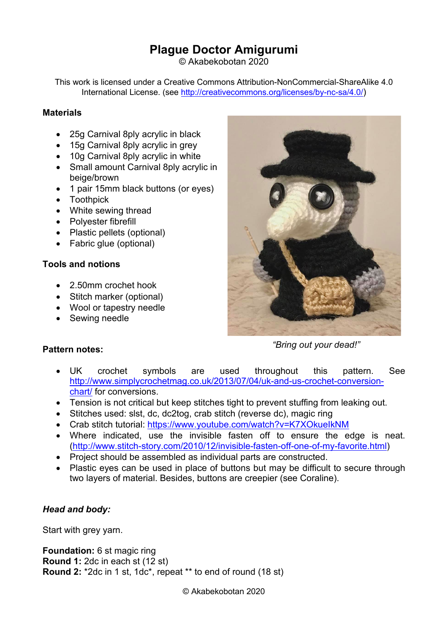# **Plague Doctor Amigurumi**

© Akabekobotan 2020

This work is licensed under a Creative Commons Attribution-NonCommercial-ShareAlike 4.0 International License. (see [http://creativecommons.org/licenses/by-nc-sa/4.0/\)](http://creativecommons.org/licenses/by-nc-sa/4.0/)

### **Materials**

- 25g Carnival 8ply acrylic in black
- 15g Carnival 8ply acrylic in grey
- 10g Carnival 8ply acrylic in white
- Small amount Carnival 8ply acrylic in beige/brown
- 1 pair 15mm black buttons (or eyes)
- Toothpick
- White sewing thread
- Polyester fibrefill
- Plastic pellets (optional)
- Fabric glue (optional)

### **Tools and notions**

**Pattern notes:**

- 2.50mm crochet hook
- Stitch marker (optional)
- Wool or tapestry needle
- Sewing needle



*"Bring out your dead!"*

- UK crochet symbols are used throughout this pattern. See [http://www.simplycrochetmag.co.uk/2013/07/04/uk-and-us-crochet-conversion](http://www.simplycrochetmag.co.uk/2013/07/04/uk-and-us-crochet-conversion-chart/)[chart/](http://www.simplycrochetmag.co.uk/2013/07/04/uk-and-us-crochet-conversion-chart/) for conversions.
- Tension is not critical but keep stitches tight to prevent stuffing from leaking out.
- Stitches used: slst, dc, dc2tog, crab stitch (reverse dc), magic ring
- Crab stitch tutorial:<https://www.youtube.com/watch?v=K7XOkueIkNM>
- Where indicated, use the invisible fasten off to ensure the edge is neat. [\(http://www.stitch-story.com/2010/12/invisible-fasten-off-one-of-my-favorite.html\)](http://www.stitch-story.com/2010/12/invisible-fasten-off-one-of-my-favorite.html)
- Project should be assembled as individual parts are constructed.
- Plastic eves can be used in place of buttons but may be difficult to secure through two layers of material. Besides, buttons are creepier (see Coraline).

### *Head and body:*

Start with grey yarn.

**Foundation:** 6 st magic ring **Round 1:** 2dc in each st (12 st) **Round 2:** \*2dc in 1 st, 1dc\*, repeat \*\* to end of round (18 st)

© Akabekobotan 2020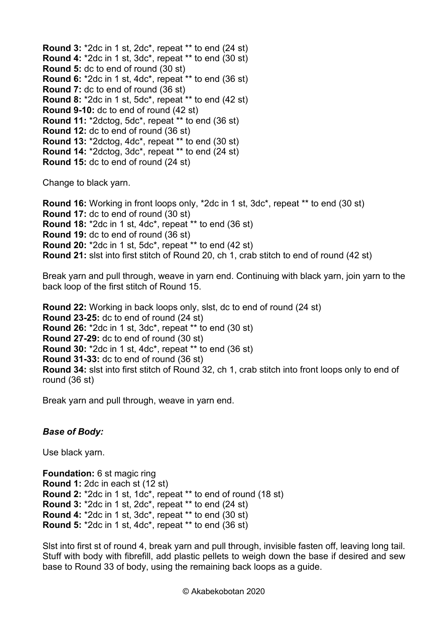**Round 3:** \*2dc in 1 st, 2dc\*, repeat \*\* to end (24 st) **Round 4:** \*2dc in 1 st, 3dc\*, repeat \*\* to end (30 st) **Round 5:** dc to end of round (30 st) **Round 6:** \*2dc in 1 st, 4dc\*, repeat \*\* to end (36 st) **Round 7:** dc to end of round (36 st) **Round 8:** \*2dc in 1 st, 5dc\*, repeat \*\* to end (42 st) **Round 9-10:** dc to end of round (42 st) **Round 11:** \*2dctog, 5dc\*, repeat \*\* to end (36 st) **Round 12:** dc to end of round (36 st) **Round 13:** \*2dctog, 4dc\*, repeat \*\* to end (30 st) **Round 14:** \*2dctog, 3dc\*, repeat \*\* to end (24 st) **Round 15:** dc to end of round (24 st)

Change to black yarn.

**Round 16:** Working in front loops only, \*2dc in 1 st, 3dc\*, repeat \*\* to end (30 st) **Round 17:** dc to end of round (30 st) **Round 18:** \*2dc in 1 st, 4dc\*, repeat \*\* to end (36 st) **Round 19:** dc to end of round (36 st) **Round 20:** \*2dc in 1 st, 5dc\*, repeat \*\* to end (42 st) **Round 21:** slst into first stitch of Round 20, ch 1, crab stitch to end of round (42 st)

Break yarn and pull through, weave in yarn end. Continuing with black yarn, join yarn to the back loop of the first stitch of Round 15.

**Round 22:** Working in back loops only, slst, dc to end of round (24 st) **Round 23-25:** dc to end of round (24 st) **Round 26:** \*2dc in 1 st, 3dc\*, repeat \*\* to end (30 st) **Round 27-29:** dc to end of round (30 st) **Round 30:** \*2dc in 1 st, 4dc\*, repeat \*\* to end (36 st) **Round 31-33:** dc to end of round (36 st) **Round 34:** slst into first stitch of Round 32, ch 1, crab stitch into front loops only to end of round (36 st)

Break yarn and pull through, weave in yarn end.

## *Base of Body:*

Use black yarn.

**Foundation:** 6 st magic ring **Round 1:** 2dc in each st (12 st) **Round 2:** \*2dc in 1 st, 1dc\*, repeat \*\* to end of round (18 st) **Round 3:** \*2dc in 1 st, 2dc\*, repeat \*\* to end (24 st) **Round 4:** \*2dc in 1 st, 3dc\*, repeat \*\* to end (30 st) **Round 5:** \*2dc in 1 st, 4dc\*, repeat \*\* to end (36 st)

Slst into first st of round 4, break yarn and pull through, invisible fasten off, leaving long tail. Stuff with body with fibrefill, add plastic pellets to weigh down the base if desired and sew base to Round 33 of body, using the remaining back loops as a guide.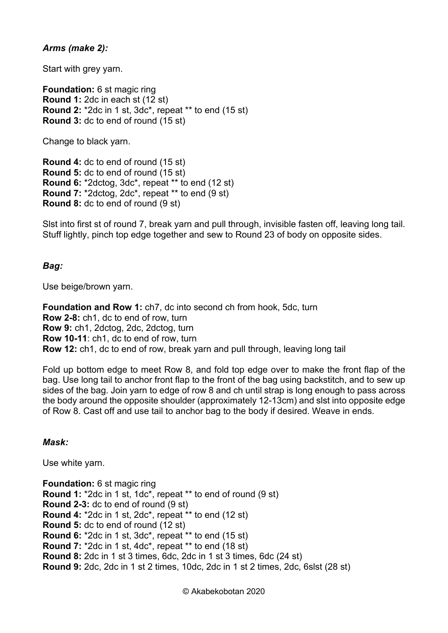### *Arms (make 2):*

Start with grey yarn.

**Foundation:** 6 st magic ring **Round 1:** 2dc in each st (12 st) **Round 2:** \*2dc in 1 st, 3dc\*, repeat \*\* to end (15 st) **Round 3:** dc to end of round (15 st)

Change to black yarn.

**Round 4:** dc to end of round (15 st) **Round 5:** dc to end of round (15 st) **Round 6:** \*2dctog, 3dc\*, repeat \*\* to end (12 st) **Round 7:** \*2dctog, 2dc\*, repeat \*\* to end (9 st) **Round 8:** dc to end of round (9 st)

Slst into first st of round 7, break yarn and pull through, invisible fasten off, leaving long tail. Stuff lightly, pinch top edge together and sew to Round 23 of body on opposite sides.

### *Bag:*

Use beige/brown yarn.

**Foundation and Row 1:** ch7, dc into second ch from hook, 5dc, turn **Row 2-8:** ch1, dc to end of row, turn **Row 9:** ch1, 2dctog, 2dc, 2dctog, turn **Row 10-11**: ch1, dc to end of row, turn **Row 12:** ch1, dc to end of row, break yarn and pull through, leaving long tail

Fold up bottom edge to meet Row 8, and fold top edge over to make the front flap of the bag. Use long tail to anchor front flap to the front of the bag using backstitch, and to sew up sides of the bag. Join yarn to edge of row 8 and ch until strap is long enough to pass across the body around the opposite shoulder (approximately 12-13cm) and slst into opposite edge of Row 8. Cast off and use tail to anchor bag to the body if desired. Weave in ends.

#### *Mask:*

Use white yarn.

**Foundation:** 6 st magic ring **Round 1:** \*2dc in 1 st, 1dc\*, repeat \*\* to end of round (9 st) **Round 2-3:** dc to end of round (9 st) **Round 4:** \*2dc in 1 st, 2dc\*, repeat \*\* to end (12 st) **Round 5:** dc to end of round (12 st) **Round 6:** \*2dc in 1 st, 3dc\*, repeat \*\* to end (15 st) **Round 7:** \*2dc in 1 st, 4dc\*, repeat \*\* to end (18 st) **Round 8:** 2dc in 1 st 3 times, 6dc, 2dc in 1 st 3 times, 6dc (24 st) **Round 9:** 2dc, 2dc in 1 st 2 times, 10dc, 2dc in 1 st 2 times, 2dc, 6slst (28 st)

© Akabekobotan 2020